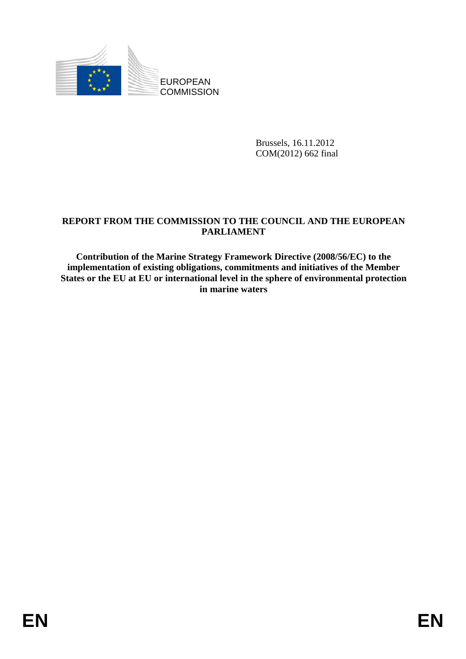

Brussels, 16.11.2012 COM(2012) 662 final

## **REPORT FROM THE COMMISSION TO THE COUNCIL AND THE EUROPEAN PARLIAMENT**

**Contribution of the Marine Strategy Framework Directive (2008/56/EC) to the implementation of existing obligations, commitments and initiatives of the Member States or the EU at EU or international level in the sphere of environmental protection in marine waters**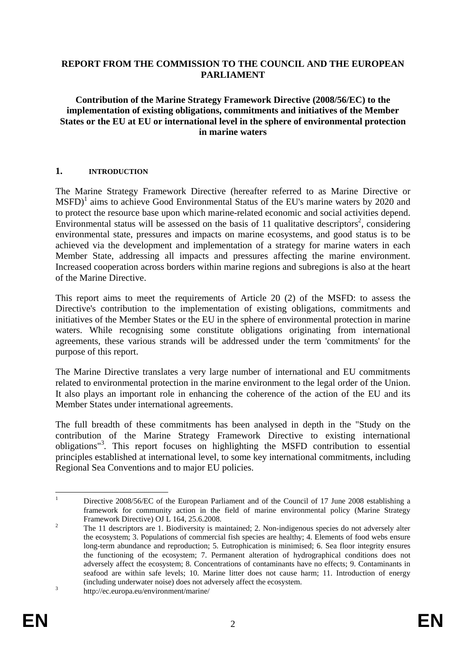#### **REPORT FROM THE COMMISSION TO THE COUNCIL AND THE EUROPEAN PARLIAMENT**

#### **Contribution of the Marine Strategy Framework Directive (2008/56/EC) to the implementation of existing obligations, commitments and initiatives of the Member States or the EU at EU or international level in the sphere of environmental protection in marine waters**

#### **1. INTRODUCTION**

The Marine Strategy Framework Directive (hereafter referred to as Marine Directive or  $M$ SFD $)^1$  aims to achieve Good Environmental Status of the EU's marine waters by 2020 and to protect the resource base upon which marine-related economic and social activities depend. Environmental status will be assessed on the basis of 11 qualitative descriptors<sup>2</sup>, considering environmental state, pressures and impacts on marine ecosystems, and good status is to be achieved via the development and implementation of a strategy for marine waters in each Member State, addressing all impacts and pressures affecting the marine environment. Increased cooperation across borders within marine regions and subregions is also at the heart of the Marine Directive.

This report aims to meet the requirements of Article 20 (2) of the MSFD: to assess the Directive's contribution to the implementation of existing obligations, commitments and initiatives of the Member States or the EU in the sphere of environmental protection in marine waters. While recognising some constitute obligations originating from international agreements, these various strands will be addressed under the term 'commitments' for the purpose of this report.

The Marine Directive translates a very large number of international and EU commitments related to environmental protection in the marine environment to the legal order of the Union. It also plays an important role in enhancing the coherence of the action of the EU and its Member States under international agreements.

The full breadth of these commitments has been analysed in depth in the "Study on the contribution of the Marine Strategy Framework Directive to existing international obligations"3 *.* This report focuses on highlighting the MSFD contribution to essential principles established at international level, to some key international commitments, including Regional Sea Conventions and to major EU policies.

 $\frac{1}{1}$  Directive 2008/56/EC of the European Parliament and of the Council of 17 June 2008 establishing a framework for community action in the field of marine environmental policy (Marine Strategy Framework Directive) OJ L 164, 25.6.2008.

The 11 descriptors are 1. Biodiversity is maintained; 2. Non-indigenous species do not adversely alter the ecosystem; 3. Populations of commercial fish species are healthy; 4. Elements of food webs ensure long-term abundance and reproduction; 5. Eutrophication is minimised; 6. Sea floor integrity ensures the functioning of the ecosystem; 7. Permanent alteration of hydrographical conditions does not adversely affect the ecosystem; 8. Concentrations of contaminants have no effects; 9. Contaminants in seafood are within safe levels; 10. Marine litter does not cause harm; 11. Introduction of energy (including underwater noise) does not adversely affect the ecosystem.

http://ec.europa.eu/environment/marine/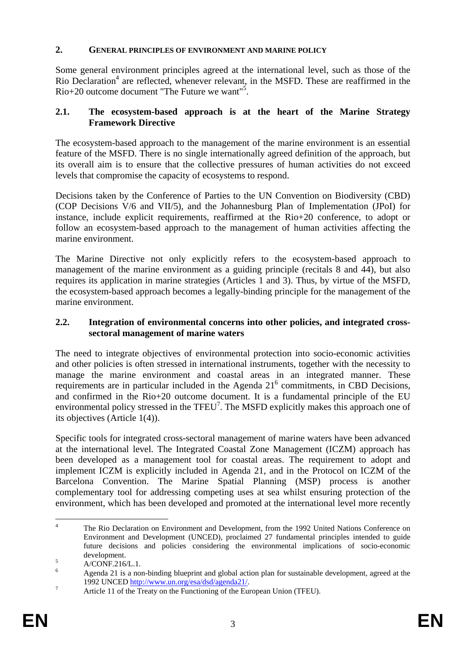## **2. GENERAL PRINCIPLES OF ENVIRONMENT AND MARINE POLICY**

Some general environment principles agreed at the international level, such as those of the Rio Declaration<sup>4</sup> are reflected, whenever relevant, in the MSFD. These are reaffirmed in the Rio+20 outcome document "The Future we want"<sup>5</sup> .

## **2.1. The ecosystem-based approach is at the heart of the Marine Strategy Framework Directive**

The ecosystem-based approach to the management of the marine environment is an essential feature of the MSFD. There is no single internationally agreed definition of the approach, but its overall aim is to ensure that the collective pressures of human activities do not exceed levels that compromise the capacity of ecosystems to respond.

Decisions taken by the Conference of Parties to the UN Convention on Biodiversity (CBD) (COP Decisions V/6 and VII/5), and the Johannesburg Plan of Implementation (JPoI) for instance, include explicit requirements, reaffirmed at the Rio+20 conference, to adopt or follow an ecosystem-based approach to the management of human activities affecting the marine environment.

The Marine Directive not only explicitly refers to the ecosystem-based approach to management of the marine environment as a guiding principle (recitals 8 and 44), but also requires its application in marine strategies (Articles 1 and 3). Thus, by virtue of the MSFD, the ecosystem-based approach becomes a legally-binding principle for the management of the marine environment.

## **2.2. Integration of environmental concerns into other policies, and integrated crosssectoral management of marine waters**

The need to integrate objectives of environmental protection into socio-economic activities and other policies is often stressed in international instruments, together with the necessity to manage the marine environment and coastal areas in an integrated manner. These requirements are in particular included in the Agenda  $21<sup>6</sup>$  commitments, in CBD Decisions, and confirmed in the Rio+20 outcome document. It is a fundamental principle of the EU environmental policy stressed in the TFEU<sup>7</sup>. The MSFD explicitly makes this approach one of its objectives (Article 1(4)).

Specific tools for integrated cross-sectoral management of marine waters have been advanced at the international level. The Integrated Coastal Zone Management (ICZM) approach has been developed as a management tool for coastal areas. The requirement to adopt and implement ICZM is explicitly included in Agenda 21, and in the Protocol on ICZM of the Barcelona Convention. The Marine Spatial Planning (MSP) process is another complementary tool for addressing competing uses at sea whilst ensuring protection of the environment, which has been developed and promoted at the international level more recently

 $\frac{1}{4}$  The Rio Declaration on Environment and Development, from the 1992 United Nations Conference on Environment and Development (UNCED), proclaimed 27 fundamental principles intended to guide future decisions and policies considering the environmental implications of socio-economic  $\text{development.}$ 

A/CONF.216/L.1.

<sup>6</sup> Agenda 21 is a non-binding blueprint and global action plan for sustainable development, agreed at the 1992 UNCED http://www.un.org/esa/dsd/agenda21/.<br>7 Article 11 of the Treaty on the Eunetioning of the Eu

Article 11 of the Treaty on the Functioning of the European Union (TFEU).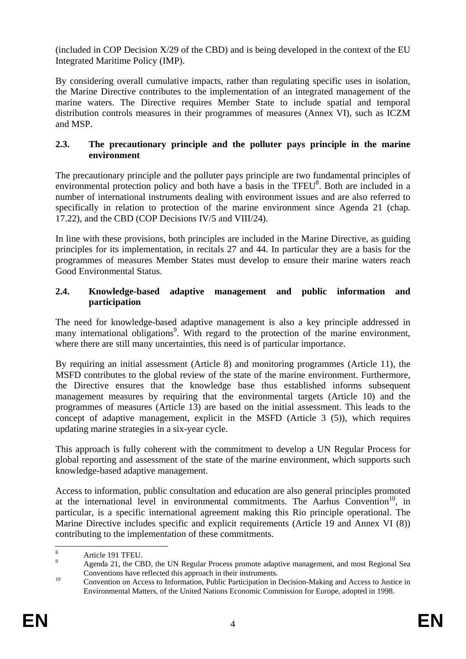$(i\nu$  included in COP Decision  $X/29$  of the CBD) and is being developed in the context of the EU Integrated Maritime Policy (IMP).

By considering overall cumulative impacts, rather than regulating specific uses in isolation, the Marine Directive contributes to the implementation of an integrated management of the marine waters. The Directive requires Member State to include spatial and temporal distribution controls measures in their programmes of measures (Annex VI), such as ICZM and MSP.

## **2.3. The precautionary principle and the polluter pays principle in the marine environment**

The precautionary principle and the polluter pays principle are two fundamental principles of environmental protection policy and both have a basis in the TFEU<sup>8</sup>. Both are included in a number of international instruments dealing with environment issues and are also referred to specifically in relation to protection of the marine environment since Agenda 21 (chap. 17.22), and the CBD (COP Decisions IV/5 and VIII/24).

In line with these provisions, both principles are included in the Marine Directive, as guiding principles for its implementation, in recitals 27 and 44. In particular they are a basis for the programmes of measures Member States must develop to ensure their marine waters reach Good Environmental Status.

## **2.4. Knowledge-based adaptive management and public information and participation**

The need for knowledge-based adaptive management is also a key principle addressed in many international obligations<sup>9</sup>. With regard to the protection of the marine environment, where there are still many uncertainties, this need is of particular importance.

By requiring an initial assessment (Article 8) and monitoring programmes (Article 11), the MSFD contributes to the global review of the state of the marine environment. Furthermore, the Directive ensures that the knowledge base thus established informs subsequent management measures by requiring that the environmental targets (Article 10) and the programmes of measures (Article 13) are based on the initial assessment. This leads to the concept of adaptive management, explicit in the MSFD (Article 3 (5)), which requires updating marine strategies in a six-year cycle.

This approach is fully coherent with the commitment to develop a UN Regular Process for global reporting and assessment of the state of the marine environment, which supports such knowledge-based adaptive management.

Access to information, public consultation and education are also general principles promoted at the international level in environmental commitments. The Aarhus Convention<sup>10</sup>, in particular, is a specific international agreement making this Rio principle operational. The Marine Directive includes specific and explicit requirements (Article 19 and Annex VI (8)) contributing to the implementation of these commitments.

 $\frac{1}{8}$ Article 191 TFEU.

<sup>9</sup> Agenda 21, the CBD, the UN Regular Process promote adaptive management, and most Regional Sea Conventions have reflected this approach in their instruments. 10 Convention on Access to Information, Public Participation in Decision-Making and Access to Justice in

Environmental Matters, of the United Nations Economic Commission for Europe, adopted in 1998.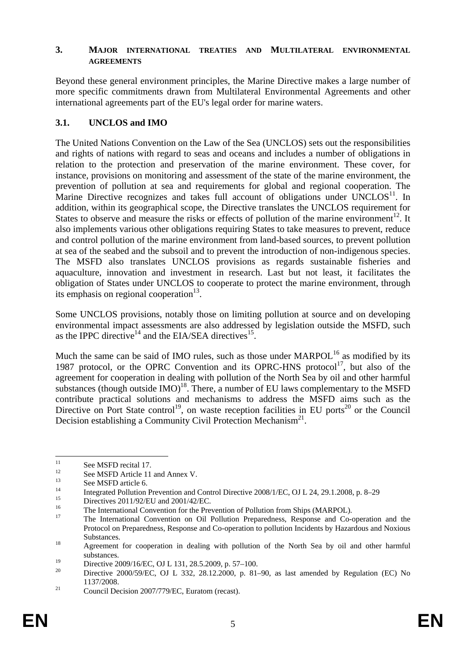#### **3. MAJOR INTERNATIONAL TREATIES AND MULTILATERAL ENVIRONMENTAL AGREEMENTS**

Beyond these general environment principles, the Marine Directive makes a large number of more specific commitments drawn from Multilateral Environmental Agreements and other international agreements part of the EU's legal order for marine waters.

# **3.1. UNCLOS and IMO**

The United Nations Convention on the Law of the Sea (UNCLOS) sets out the responsibilities and rights of nations with regard to seas and oceans and includes a number of obligations in relation to the protection and preservation of the marine environment. These cover, for instance, provisions on monitoring and assessment of the state of the marine environment, the prevention of pollution at sea and requirements for global and regional cooperation. The Marine Directive recognizes and takes full account of obligations under  $UNCLOS<sup>11</sup>$ . In addition, within its geographical scope, the Directive translates the UNCLOS requirement for States to observe and measure the risks or effects of pollution of the marine environment<sup>12</sup>. It also implements various other obligations requiring States to take measures to prevent, reduce and control pollution of the marine environment from land-based sources, to prevent pollution at sea of the seabed and the subsoil and to prevent the introduction of non-indigenous species. The MSFD also translates UNCLOS provisions as regards sustainable fisheries and aquaculture, innovation and investment in research. Last but not least, it facilitates the obligation of States under UNCLOS to cooperate to protect the marine environment, through its emphasis on regional cooperation<sup>13</sup>.

Some UNCLOS provisions, notably those on limiting pollution at source and on developing environmental impact assessments are also addressed by legislation outside the MSFD, such as the IPPC directive<sup>14</sup> and the EIA/SEA directives<sup>15</sup>.

Much the same can be said of IMO rules, such as those under  $MARPOL<sup>16</sup>$  as modified by its 1987 protocol, or the OPRC Convention and its OPRC-HNS protocol<sup>17</sup>, but also of the agreement for cooperation in dealing with pollution of the North Sea by oil and other harmful substances (though outside  $IMO<sup>18</sup>$ . There, a number of EU laws complementary to the MSFD contribute practical solutions and mechanisms to address the MSFD aims such as the Directive on Port State control<sup>19</sup>, on waste reception facilities in EU ports<sup>20</sup> or the Council Decision establishing a Community Civil Protection Mechanism<sup>21</sup>.

 $11$  $11$  See MSFD recital 17.

<sup>&</sup>lt;sup>12</sup> See MSFD Article 11 and Annex V.

 $13$  See MSFD article 6.

<sup>&</sup>lt;sup>14</sup> Integrated Pollut[ion Prevention and Control](http://eur-lex.europa.eu/Notice.do?checktexts=checkbox&val=463847%3Acs&pos=1&page=1&lang=en&pgs=10&nbl=1&list=463847%3Acs%2C&hwords=&action=GO&visu=%23texte) Directive 2008/1/EC, OJ L 24, 29.1.2008, p. 8–29

<sup>&</sup>lt;sup>15</sup> Directives  $2011/92/EU$  and  $2001/42/EC$ .

<sup>&</sup>lt;sup>16</sup> The International Convention for the Prevention of Pollution from Ships (MARPOL).

<sup>17</sup> The International Convention on Oil Pollution Preparedness, Response and Co-operation and the Protocol on Preparedness, Response and Co-operation to pollution Incidents by Hazardous and Noxious Substances.<br><sup>18</sup> Agreement for cooperation in dealing with pollution of the North Sea by oil and other harmful

substances.

<sup>&</sup>lt;sup>19</sup> Directive 2009/16/EC, OJ L 131, 28.5.2009, p. 57–100.<br><sup>20</sup> Directive 2000/50/EC, OJ L 222, 28.12.2000, p. 81.

<sup>20</sup> [Directive 2000/59/EC, OJ L 332, 28.12.2000, p. 81–90,](http://eur-lex.europa.eu/Notice.do?checktexts=checkbox&val=236999%3Acs&pos=1&page=1&lang=en&pgs=10&nbl=1&list=236999%3Acs%2C&hwords=&action=GO&visu=%23texte) as last amended by Regulation (EC) No

<sup>1137/2008.&</sup>lt;br>
21 Council Decision 2007/779/EC, Euratom (recast).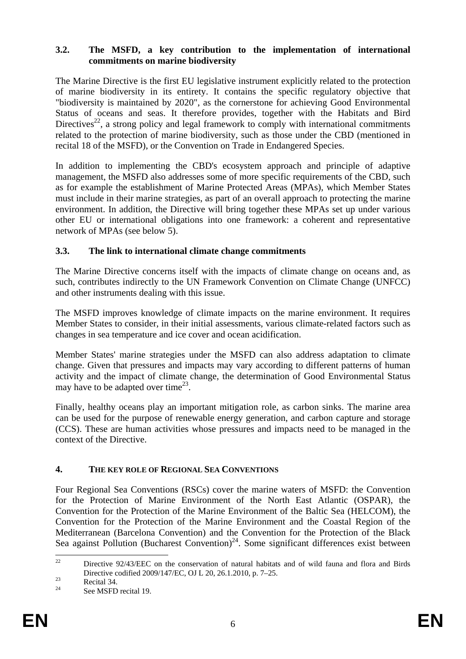### **3.2. The MSFD, a key contribution to the implementation of international commitments on marine biodiversity**

The Marine Directive is the first EU legislative instrument explicitly related to the protection of marine biodiversity in its entirety. It contains the specific regulatory objective that "biodiversity is maintained by 2020", as the cornerstone for achieving Good Environmental Status of oceans and seas. It therefore provides, together with the Habitats and Bird Directives<sup>22</sup>, a strong policy and legal framework to comply with international commitments related to the protection of marine biodiversity, such as those under the CBD (mentioned in recital 18 of the MSFD), or the Convention on Trade in Endangered Species.

In addition to implementing the CBD's ecosystem approach and principle of adaptive management, the MSFD also addresses some of more specific requirements of the CBD, such as for example the establishment of Marine Protected Areas (MPAs), which Member States must include in their marine strategies, as part of an overall approach to protecting the marine environment. In addition, the Directive will bring together these MPAs set up under various other EU or international obligations into one framework: a coherent and representative network of MPAs (see below 5).

## **3.3. The link to international climate change commitments**

The Marine Directive concerns itself with the impacts of climate change on oceans and, as such, contributes indirectly to the UN Framework Convention on Climate Change (UNFCC) and other instruments dealing with this issue.

The MSFD improves knowledge of climate impacts on the marine environment. It requires Member States to consider, in their initial assessments, various climate-related factors such as changes in sea temperature and ice cover and ocean acidification.

Member States' marine strategies under the MSFD can also address adaptation to climate change. Given that pressures and impacts may vary according to different patterns of human activity and the impact of climate change, the determination of Good Environmental Status may have to be adapted over time<sup>23</sup>.

Finally, healthy oceans play an important mitigation role, as carbon sinks. The marine area can be used for the purpose of renewable energy generation, and carbon capture and storage (CCS). These are human activities whose pressures and impacts need to be managed in the context of the Directive.

## **4. THE KEY ROLE OF REGIONAL SEA CONVENTIONS**

Four Regional Sea Conventions (RSCs) cover the marine waters of MSFD: the Convention for the Protection of Marine Environment of the North East Atlantic (OSPAR), the Convention for the Protection of the Marine Environment of the Baltic Sea (HELCOM), the Convention for the Protection of the Marine Environment and the Coastal Region of the Mediterranean (Barcelona Convention) and the Convention for the Protection of the Black Sea against Pollution (Bucharest Convention)<sup>24</sup>. Some significant differences exist between

 $22$ 22 Directive 92/43/EEC on the conservation of natural habitats and of wild fauna and flora and [Birds](http://eur-lex.europa.eu/Notice.do?checktexts=checkbox&val=507103%3Acs&pos=1&page=1&lang=en&pgs=10&nbl=1&list=507103%3Acs%2C&hwords=&action=GO&visu=%23texte)  Directive codified 2009/147/EC, OJ L 20, 26.1.2010, p. 7–25.<br>Recital 34.<br>24 Recital 10

See MSFD recital 19.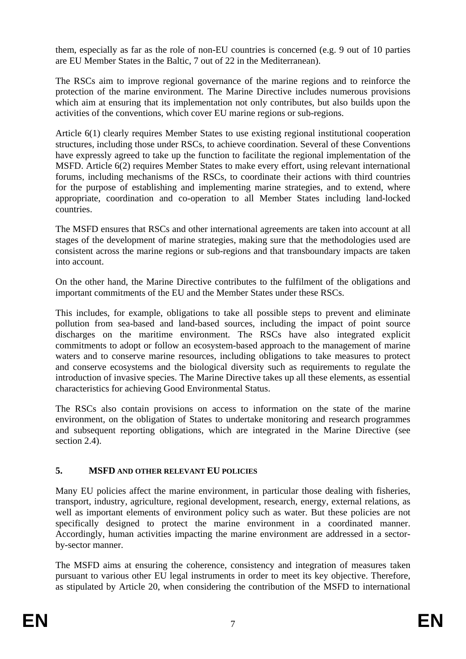them, especially as far as the role of non-EU countries is concerned (e.g. 9 out of 10 parties are EU Member States in the Baltic, 7 out of 22 in the Mediterranean).

The RSCs aim to improve regional governance of the marine regions and to reinforce the protection of the marine environment. The Marine Directive includes numerous provisions which aim at ensuring that its implementation not only contributes, but also builds upon the activities of the conventions, which cover EU marine regions or sub-regions.

Article 6(1) clearly requires Member States to use existing regional institutional cooperation structures, including those under RSCs, to achieve coordination. Several of these Conventions have expressly agreed to take up the function to facilitate the regional implementation of the MSFD. Article 6(2) requires Member States to make every effort, using relevant international forums, including mechanisms of the RSCs, to coordinate their actions with third countries for the purpose of establishing and implementing marine strategies, and to extend, where appropriate, coordination and co-operation to all Member States including land-locked countries.

The MSFD ensures that RSCs and other international agreements are taken into account at all stages of the development of marine strategies, making sure that the methodologies used are consistent across the marine regions or sub-regions and that transboundary impacts are taken into account.

On the other hand, the Marine Directive contributes to the fulfilment of the obligations and important commitments of the EU and the Member States under these RSCs.

This includes, for example, obligations to take all possible steps to prevent and eliminate pollution from sea-based and land-based sources, including the impact of point source discharges on the maritime environment. The RSCs have also integrated explicit commitments to adopt or follow an ecosystem-based approach to the management of marine waters and to conserve marine resources, including obligations to take measures to protect and conserve ecosystems and the biological diversity such as requirements to regulate the introduction of invasive species. The Marine Directive takes up all these elements, as essential characteristics for achieving Good Environmental Status.

The RSCs also contain provisions on access to information on the state of the marine environment, on the obligation of States to undertake monitoring and research programmes and subsequent reporting obligations, which are integrated in the Marine Directive (see section 2.4).

## **5. MSFD AND OTHER RELEVANT EU POLICIES**

Many EU policies affect the marine environment, in particular those dealing with fisheries, transport, industry, agriculture, regional development, research, energy, external relations, as well as important elements of environment policy such as water. But these policies are not specifically designed to protect the marine environment in a coordinated manner. Accordingly, human activities impacting the marine environment are addressed in a sectorby-sector manner.

The MSFD aims at ensuring the coherence, consistency and integration of measures taken pursuant to various other EU legal instruments in order to meet its key objective. Therefore, as stipulated by Article 20, when considering the contribution of the MSFD to international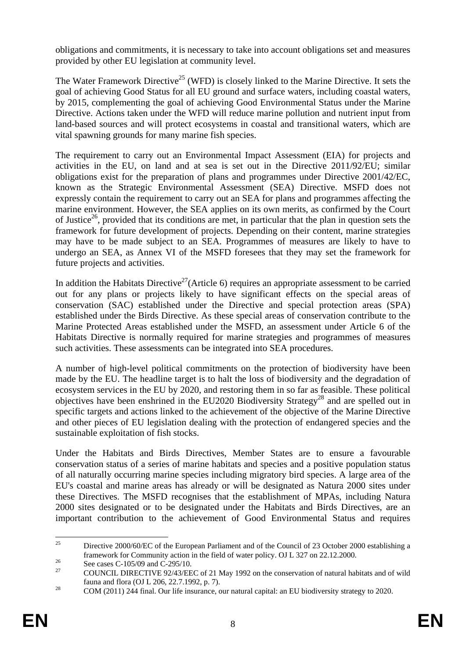obligations and commitments, it is necessary to take into account obligations set and measures provided by other EU legislation at community level.

The Water Framework Directive<sup>25</sup> (WFD) is closely linked to the Marine Directive. It sets the goal of achieving Good Status for all EU ground and surface waters, including coastal waters, by 2015, complementing the goal of achieving Good Environmental Status under the Marine Directive. Actions taken under the WFD will reduce marine pollution and nutrient input from land-based sources and will protect ecosystems in coastal and transitional waters, which are vital spawning grounds for many marine fish species.

The requirement to carry out an Environmental Impact Assessment (EIA) for projects and activities in the EU, on land and at sea is set out in the Directive 2011/92/EU; similar obligations exist for the preparation of plans and programmes under Directive 2001/42/EC, known as the Strategic Environmental Assessment (SEA) Directive. MSFD does not expressly contain the requirement to carry out an SEA for plans and programmes affecting the marine environment. However, the SEA applies on its own merits, as confirmed by the Court of Justice<sup>26</sup>, provided that its conditions are met, in particular that the plan in question sets the framework for future development of projects. Depending on their content, marine strategies may have to be made subject to an SEA. Programmes of measures are likely to have to undergo an SEA, as Annex VI of the MSFD foresees that they may set the framework for future projects and activities.

In addition the Habitats Directive<sup>27</sup> (Article 6) requires an appropriate assessment to be carried out for any plans or projects likely to have significant effects on the special areas of conservation (SAC) established under the Directive and special protection areas (SPA) established under the Birds Directive. As these special areas of conservation contribute to the Marine Protected Areas established under the MSFD, an assessment under Article 6 of the Habitats Directive is normally required for marine strategies and programmes of measures such activities. These assessments can be integrated into SEA procedures.

A number of high-level political commitments on the protection of biodiversity have been made by the EU. The headline target is to halt the loss of biodiversity and the degradation of ecosystem services in the EU by 2020, and restoring them in so far as feasible. These political objectives have been enshrined in the EU2020 Biodiversity Strategy<sup>28</sup> and are spelled out in specific targets and actions linked to the achievement of the objective of the Marine Directive and other pieces of EU legislation dealing with the protection of endangered species and the sustainable exploitation of fish stocks.

Under the Habitats and Birds Directives, Member States are to ensure a favourable conservation status of a series of marine habitats and species and a positive population status of all naturally occurring marine species including migratory bird species. A large area of the EU's coastal and marine areas has already or will be designated as Natura 2000 sites under these Directives. The MSFD recognises that the establishment of MPAs, including Natura 2000 sites designated or to be designated under the Habitats and Birds Directives, are an important contribution to the achievement of Good Environmental Status and requires

<sup>25</sup> 25 Directive 2000/60/EC of the European Parliament and of the Council of 23 October 2000 establishing a framework for Community action in the field of water policy. OJ L 327 on 22.12.2000.<br>See cases C-105/09 and C-295/10.<br>27 See Cases C-105/09 and C-295/10.

<sup>27</sup> COUNCIL DIRECTIVE 92/43/EEC of 21 May 1992 on the conservation of natural habitats and of wild

fauna and flora (OJ L 206, 22.7.1992, p. 7).<br>
28 COM (2011) 244 final. Our life insurance, our natural capital: an EU biodiversity strategy to 2020.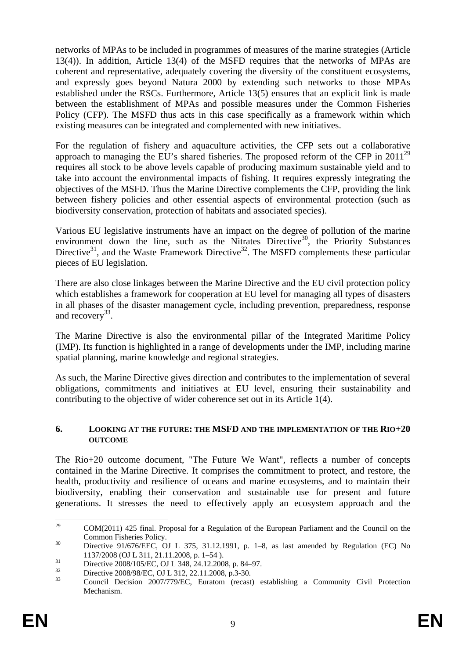networks of MPAs to be included in programmes of measures of the marine strategies (Article 13(4)). In addition, Article 13(4) of the MSFD requires that the networks of MPAs are coherent and representative, adequately covering the diversity of the constituent ecosystems, and expressly goes beyond Natura 2000 by extending such networks to those MPAs established under the RSCs. Furthermore, Article 13(5) ensures that an explicit link is made between the establishment of MPAs and possible measures under the Common Fisheries Policy (CFP). The MSFD thus acts in this case specifically as a framework within which existing measures can be integrated and complemented with new initiatives.

For the regulation of fishery and aquaculture activities, the CFP sets out a collaborative approach to managing the EU's shared fisheries. The proposed reform of the CFP in  $2011^{29}$ requires all stock to be above levels capable of producing maximum sustainable yield and to take into account the environmental impacts of fishing. It requires expressly integrating the objectives of the MSFD. Thus the Marine Directive complements the CFP, providing the link between fishery policies and other essential aspects of environmental protection (such as biodiversity conservation, protection of habitats and associated species).

Various EU legislative instruments have an impact on the degree of pollution of the marine environment down the line, such as the Nitrates Directive<sup>30</sup>, the Priority Substances Directive<sup>31</sup>, and the Waste Framework Directive<sup>32</sup>. The MSFD complements these particular pieces of EU legislation.

There are also close linkages between the Marine Directive and the EU civil protection policy which establishes a framework for cooperation at EU level for managing all types of disasters in all phases of the disaster management cycle, including prevention, preparedness, response and recovery<sup>33</sup>.

The Marine Directive is also the environmental pillar of the Integrated Maritime Policy (IMP). Its function is highlighted in a range of developments under the IMP, including marine spatial planning, marine knowledge and regional strategies.

As such, the Marine Directive gives direction and contributes to the implementation of several obligations, commitments and initiatives at EU level, ensuring their sustainability and contributing to the objective of wider coherence set out in its Article 1(4).

#### **6. LOOKING AT THE FUTURE: THE MSFD AND THE IMPLEMENTATION OF THE RIO+20 OUTCOME**

The Rio+20 outcome document, "The Future We Want", reflects a number of concepts contained in the Marine Directive. It comprises the commitment to protect, and restore, the health, productivity and resilience of oceans and marine ecosystems, and to maintain their biodiversity, enabling their conservation and sustainable use for present and future generations. It stresses the need to effectively apply an ecosystem approach and the

<sup>29</sup> 29 COM(2011) 425 final. Proposal for a Regulation of the European Parliament and the Council on the [Common Fisheries Policy.](http://eur-lex.europa.eu/LexUriServ/LexUriServ.do?uri=CELEX:31991L0676:en:NOT) 30 [Directive 91/676/EEC, OJ L 375, 31.12.1991, p. 1–8, as last am](http://eur-lex.europa.eu/LexUriServ/LexUriServ.do?uri=CELEX:31991L0676:en:NOT)ended by Regulation (EC) No

<sup>1137/2008 (</sup>OJ L 311, 21.11.2008, p. 1–54).<br>31 Directive 2008/105/EC, OJ L 348, 24.12.2008, p. 84–97.

 $\frac{32}{33}$  Directive 2008/98/EC, OJ L 312, 22.11.2008, p.3-30.

<sup>33</sup> Council Decision 2007/779/EC, Euratom (recast) establishing a Community Civil Protection Mechanism.